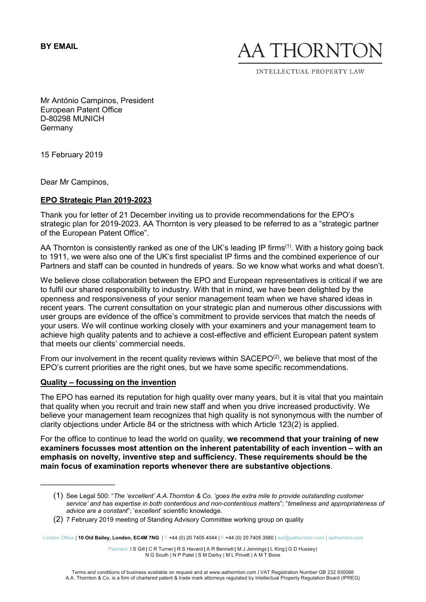BY EMAIL

AA THORNT

INTELLECTUAL PROPERTY LAW

Mr António Campinos, President European Patent Office D-80298 MUNICH Germany

15 February 2019

Dear Mr Campinos,

# EPO Strategic Plan 2019-2023

Thank you for letter of 21 December inviting us to provide recommendations for the EPO's strategic plan for 2019-2023. AA Thornton is very pleased to be referred to as a "strategic partner of the European Patent Office".

AA Thornton is consistently ranked as one of the UK's leading IP firms<sup>(1)</sup>. With a history going back to 1911, we were also one of the UK's first specialist IP firms and the combined experience of our Partners and staff can be counted in hundreds of years. So we know what works and what doesn't.

We believe close collaboration between the EPO and European representatives is critical if we are to fulfil our shared responsibility to industry. With that in mind, we have been delighted by the openness and responsiveness of your senior management team when we have shared ideas in recent years. The current consultation on your strategic plan and numerous other discussions with user groups are evidence of the office's commitment to provide services that match the needs of your users. We will continue working closely with your examiners and your management team to achieve high quality patents and to achieve a cost-effective and efficient European patent system that meets our clients' commercial needs.

From our involvement in the recent quality reviews within  $SACEPO<sup>(2)</sup>$ , we believe that most of the EPO's current priorities are the right ones, but we have some specific recommendations.

#### Quality – focussing on the invention

 $\overline{\phantom{a}}$  , where  $\overline{\phantom{a}}$ 

The EPO has earned its reputation for high quality over many years, but it is vital that you maintain that quality when you recruit and train new staff and when you drive increased productivity. We believe your management team recognizes that high quality is not synonymous with the number of clarity objections under Article 84 or the strictness with which Article 123(2) is applied.

For the office to continue to lead the world on quality, we recommend that your training of new examiners focusses most attention on the inherent patentability of each invention – with an emphasis on novelty, inventive step and sufficiency. These requirements should be the main focus of examination reports whenever there are substantive objections.

London Office | 10 Old Bailey, London, EC4M 7NG | T +44 (0) 20 7405 4044 | F +44 (0) 20 7405 3580 | aat@aathornton.com | aathornton.com

Partners: I S Gill | C R Turner | R S Havard | A R Bennett | M J Jennings | L King | G D Hussey | N G South | N P Patel | S M Darby | M L Privett | A M T Bone

<sup>(1)</sup> See Legal 500: "The 'excellent' A.A.Thornton & Co. 'goes the extra mile to provide outstanding customer service' and has expertise in both contentious and non-contentious matters"; "timeliness and appropriateness of advice are a constant"; 'excellent' scientific knowledge.

<sup>(2)</sup> 7 February 2019 meeting of Standing Advisory Committee working group on quality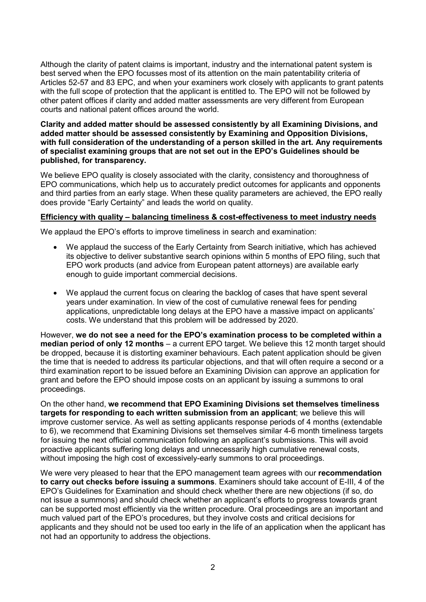Although the clarity of patent claims is important, industry and the international patent system is best served when the EPO focusses most of its attention on the main patentability criteria of Articles 52-57 and 83 EPC, and when your examiners work closely with applicants to grant patents with the full scope of protection that the applicant is entitled to. The EPO will not be followed by other patent offices if clarity and added matter assessments are very different from European courts and national patent offices around the world.

### Clarity and added matter should be assessed consistently by all Examining Divisions, and added matter should be assessed consistently by Examining and Opposition Divisions, with full consideration of the understanding of a person skilled in the art. Any requirements of specialist examining groups that are not set out in the EPO's Guidelines should be published, for transparency.

We believe EPO quality is closely associated with the clarity, consistency and thoroughness of EPO communications, which help us to accurately predict outcomes for applicants and opponents and third parties from an early stage. When these quality parameters are achieved, the EPO really does provide "Early Certainty" and leads the world on quality.

# Efficiency with quality – balancing timeliness & cost-effectiveness to meet industry needs

We applaud the EPO's efforts to improve timeliness in search and examination:

- We applaud the success of the Early Certainty from Search initiative, which has achieved its objective to deliver substantive search opinions within 5 months of EPO filing, such that EPO work products (and advice from European patent attorneys) are available early enough to guide important commercial decisions.
- We applaud the current focus on clearing the backlog of cases that have spent several years under examination. In view of the cost of cumulative renewal fees for pending applications, unpredictable long delays at the EPO have a massive impact on applicants' costs. We understand that this problem will be addressed by 2020.

However, we do not see a need for the EPO's examination process to be completed within a median period of only 12 months – a current EPO target. We believe this 12 month target should be dropped, because it is distorting examiner behaviours. Each patent application should be given the time that is needed to address its particular objections, and that will often require a second or a third examination report to be issued before an Examining Division can approve an application for grant and before the EPO should impose costs on an applicant by issuing a summons to oral proceedings.

On the other hand, we recommend that EPO Examining Divisions set themselves timeliness targets for responding to each written submission from an applicant; we believe this will improve customer service. As well as setting applicants response periods of 4 months (extendable to 6), we recommend that Examining Divisions set themselves similar 4-6 month timeliness targets for issuing the next official communication following an applicant's submissions. This will avoid proactive applicants suffering long delays and unnecessarily high cumulative renewal costs, without imposing the high cost of excessively-early summons to oral proceedings.

We were very pleased to hear that the EPO management team agrees with our recommendation to carry out checks before issuing a summons. Examiners should take account of E-III, 4 of the EPO's Guidelines for Examination and should check whether there are new objections (if so, do not issue a summons) and should check whether an applicant's efforts to progress towards grant can be supported most efficiently via the written procedure. Oral proceedings are an important and much valued part of the EPO's procedures, but they involve costs and critical decisions for applicants and they should not be used too early in the life of an application when the applicant has not had an opportunity to address the objections.